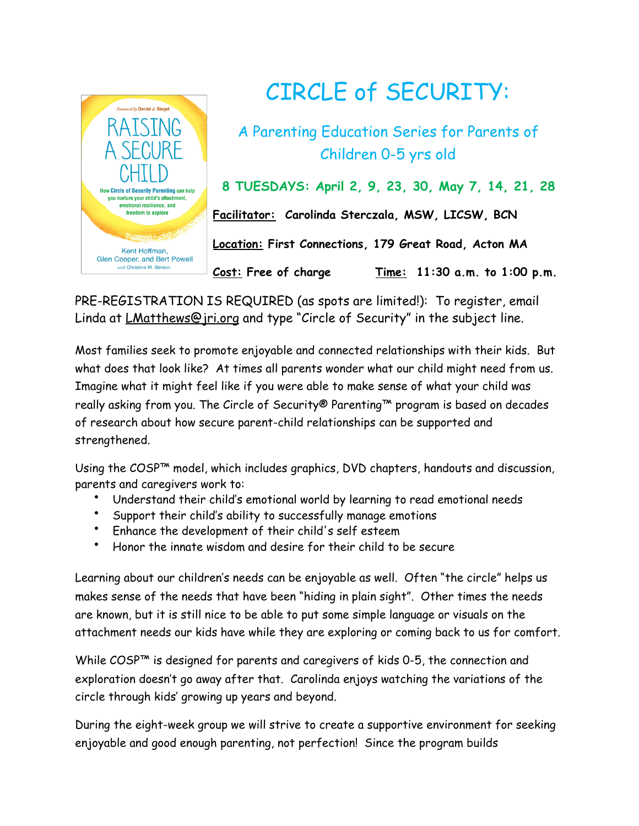

## CIRCLE of SECURITY:

A Parenting Education Series for Parents of Children 0-5 yrs old

**8 TUESDAYS: April 2, 9, 23, 30, May 7, 14, 21, 28** 

**Facilitator: Carolinda Sterczala, MSW, LICSW, BCN** 

**Location: First Connections, 179 Great Road, Acton MA** 

**Cost: Free of charge Time: 11:30 a.m. to 1:00 p.m.** 

PRE-REGISTRATION IS REQUIRED (as spots are limited!): To register, email Linda at *LMatthews@jri.org* and type "Circle of Security" in the subject line.

Most families seek to promote enjoyable and connected relationships with their kids. But what does that look like? At times all parents wonder what our child might need from us. Imagine what it might feel like if you were able to make sense of what your child was really asking from you. The Circle of Security® Parenting™ program is based on decades of research about how secure parent-child relationships can be supported and strengthened.

Using the COSP<sup>™</sup> model, which includes graphics, DVD chapters, handouts and discussion, parents and caregivers work to:

- Understand their child's emotional world by learning to read emotional needs
- Support their child's ability to successfully manage emotions
- Enhance the development of their child's self esteem
- Honor the innate wisdom and desire for their child to be secure

Learning about our children's needs can be enjoyable as well. Often "the circle" helps us makes sense of the needs that have been "hiding in plain sight". Other times the needs are known, but it is still nice to be able to put some simple language or visuals on the attachment needs our kids have while they are exploring or coming back to us for comfort.

While COSP™ is designed for parents and caregivers of kids 0-5, the connection and exploration doesn't go away after that. Carolinda enjoys watching the variations of the circle through kids' growing up years and beyond.

During the eight-week group we will strive to create a supportive environment for seeking enjoyable and good enough parenting, not perfection! Since the program builds